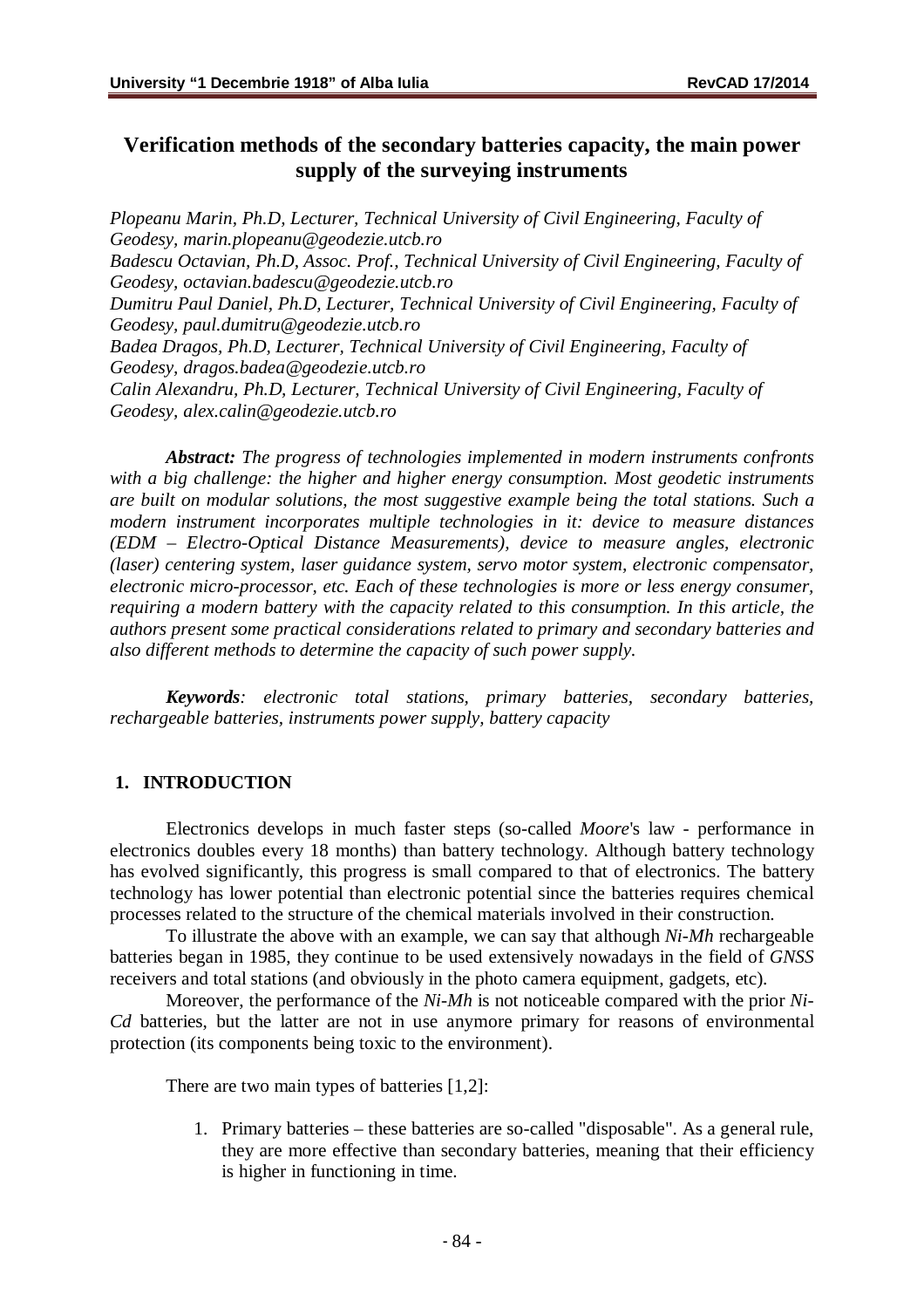# **Verification methods of the secondary batteries capacity, the main power supply of the surveying instruments**

*Plopeanu Marin, Ph.D, Lecturer, Technical University of Civil Engineering, Faculty of Geodesy, [marin.plopeanu@geodezie.utcb.ro](mailto:marin.plopeanu@geodezie.utcb.ro) Badescu Octavian, Ph.D, Assoc. Prof., Technical University of Civil Engineering, Faculty of Geodesy, [octavian.badescu@geodezie.utcb.ro](mailto:octavian.badescu@geodezie.utcb.ro) Dumitru Paul Daniel, Ph.D, Lecturer, Technical University of Civil Engineering, Faculty of Geodesy, [paul.dumitru@geodezie.utcb.ro](mailto:paul.dumitru@geodezie.utcb.ro) Badea Dragos, Ph.D, Lecturer, Technical University of Civil Engineering, Faculty of Geodesy, [dragos.badea@geodezie.utcb.ro](mailto:dragos.badea@geodezie.utcb.ro) Calin Alexandru, Ph.D, Lecturer, Technical University of Civil Engineering, Faculty of Geodesy, [alex.calin@geodezie.utcb.ro](mailto:alex.calin@geodezie.utcb.ro)*

*Abstract: The progress of technologies implemented in modern instruments confronts with a big challenge: the higher and higher energy consumption. Most geodetic instruments are built on modular solutions, the most suggestive example being the total stations. Such a modern instrument incorporates multiple technologies in it: device to measure distances (EDM – Electro-Optical Distance Measurements), device to measure angles, electronic (laser) centering system, laser guidance system, servo motor system, electronic compensator, electronic micro-processor, etc. Each of these technologies is more or less energy consumer, requiring a modern battery with the capacity related to this consumption. In this article, the authors present some practical considerations related to primary and secondary batteries and also different methods to determine the capacity of such power supply.*

*Keywords: electronic total stations, primary batteries, secondary batteries, rechargeable batteries, instruments power supply, battery capacity*

### **1. INTRODUCTION**

Electronics develops in much faster steps (so-called *Moore*'s law - performance in electronics doubles every 18 months) than battery technology. Although battery technology has evolved significantly, this progress is small compared to that of electronics. The battery technology has lower potential than electronic potential since the batteries requires chemical processes related to the structure of the chemical materials involved in their construction.

To illustrate the above with an example, we can say that although *Ni-Mh* rechargeable batteries began in 1985, they continue to be used extensively nowadays in the field of *GNSS* receivers and total stations (and obviously in the photo camera equipment, gadgets, etc).

Moreover, the performance of the *Ni-Mh* is not noticeable compared with the prior *Ni-Cd* batteries, but the latter are not in use anymore primary for reasons of environmental protection (its components being toxic to the environment).

There are two main types of batteries [1,2]:

1. Primary batteries – these batteries are so-called "disposable". As a general rule, they are more effective than secondary batteries, meaning that their efficiency is higher in functioning in time.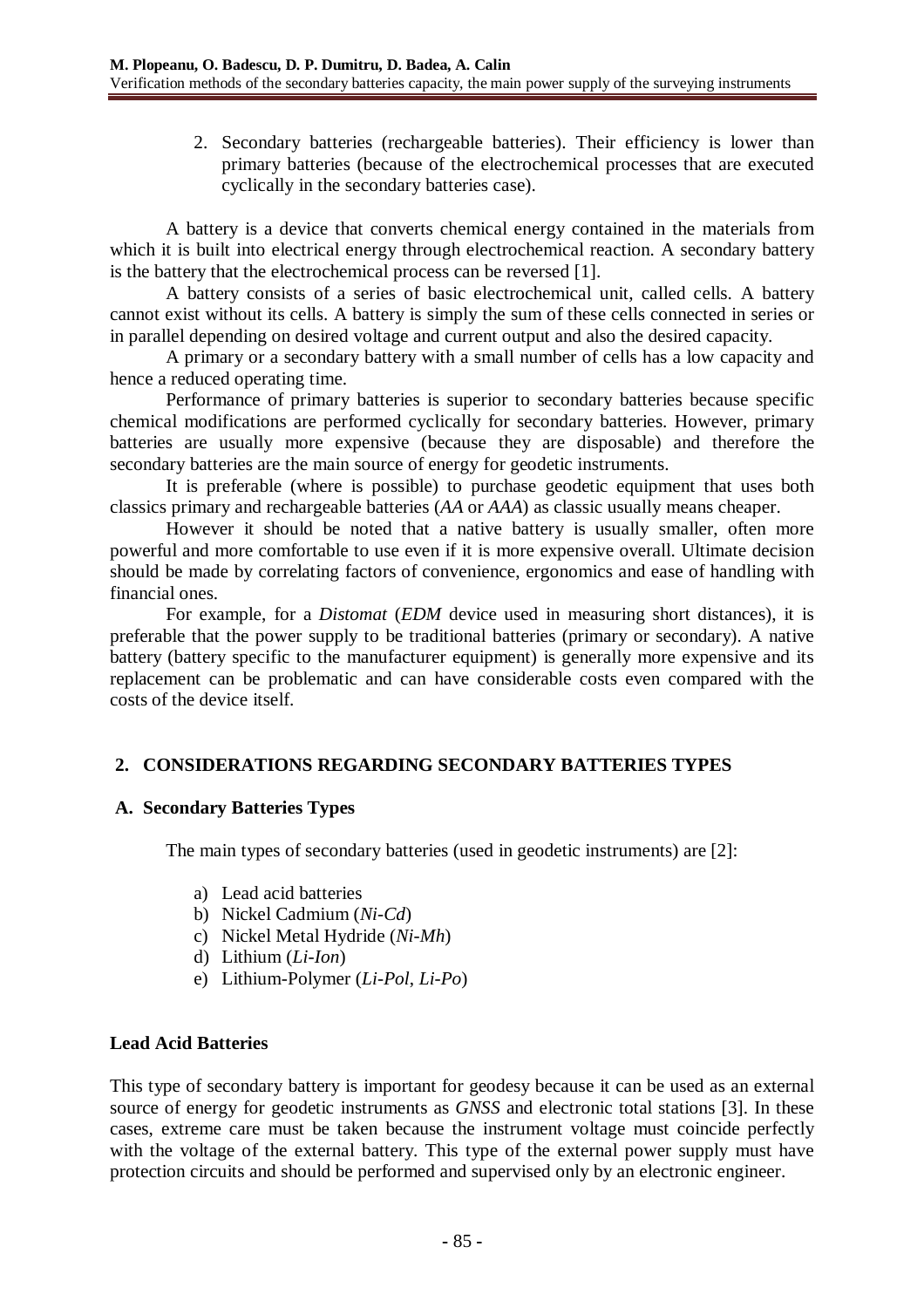2. Secondary batteries (rechargeable batteries). Their efficiency is lower than primary batteries (because of the electrochemical processes that are executed cyclically in the secondary batteries case).

A battery is a device that converts chemical energy contained in the materials from which it is built into electrical energy through electrochemical reaction. A secondary battery is the battery that the electrochemical process can be reversed [1].

A battery consists of a series of basic electrochemical unit, called cells. A battery cannot exist without its cells. A battery is simply the sum of these cells connected in series or in parallel depending on desired voltage and current output and also the desired capacity.

A primary or a secondary battery with a small number of cells has a low capacity and hence a reduced operating time.

Performance of primary batteries is superior to secondary batteries because specific chemical modifications are performed cyclically for secondary batteries. However, primary batteries are usually more expensive (because they are disposable) and therefore the secondary batteries are the main source of energy for geodetic instruments.

It is preferable (where is possible) to purchase geodetic equipment that uses both classics primary and rechargeable batteries (*AA* or *AAA*) as classic usually means cheaper.

However it should be noted that a native battery is usually smaller, often more powerful and more comfortable to use even if it is more expensive overall. Ultimate decision should be made by correlating factors of convenience, ergonomics and ease of handling with financial ones.

For example, for a *Distomat* (*EDM* device used in measuring short distances), it is preferable that the power supply to be traditional batteries (primary or secondary). A native battery (battery specific to the manufacturer equipment) is generally more expensive and its replacement can be problematic and can have considerable costs even compared with the costs of the device itself.

# **2. CONSIDERATIONS REGARDING SECONDARY BATTERIES TYPES**

### **A. Secondary Batteries Types**

The main types of secondary batteries (used in geodetic instruments) are [2]:

- a) Lead acid batteries
- b) Nickel Cadmium (*Ni-Cd*)
- c) Nickel Metal Hydride (*Ni-Mh*)
- d) Lithium (*Li-Ion*)
- e) Lithium-Polymer (*Li-Pol*, *Li-Po*)

### **Lead Acid Batteries**

This type of secondary battery is important for geodesy because it can be used as an external source of energy for geodetic instruments as *GNSS* and electronic total stations [3]. In these cases, extreme care must be taken because the instrument voltage must coincide perfectly with the voltage of the external battery. This type of the external power supply must have protection circuits and should be performed and supervised only by an electronic engineer.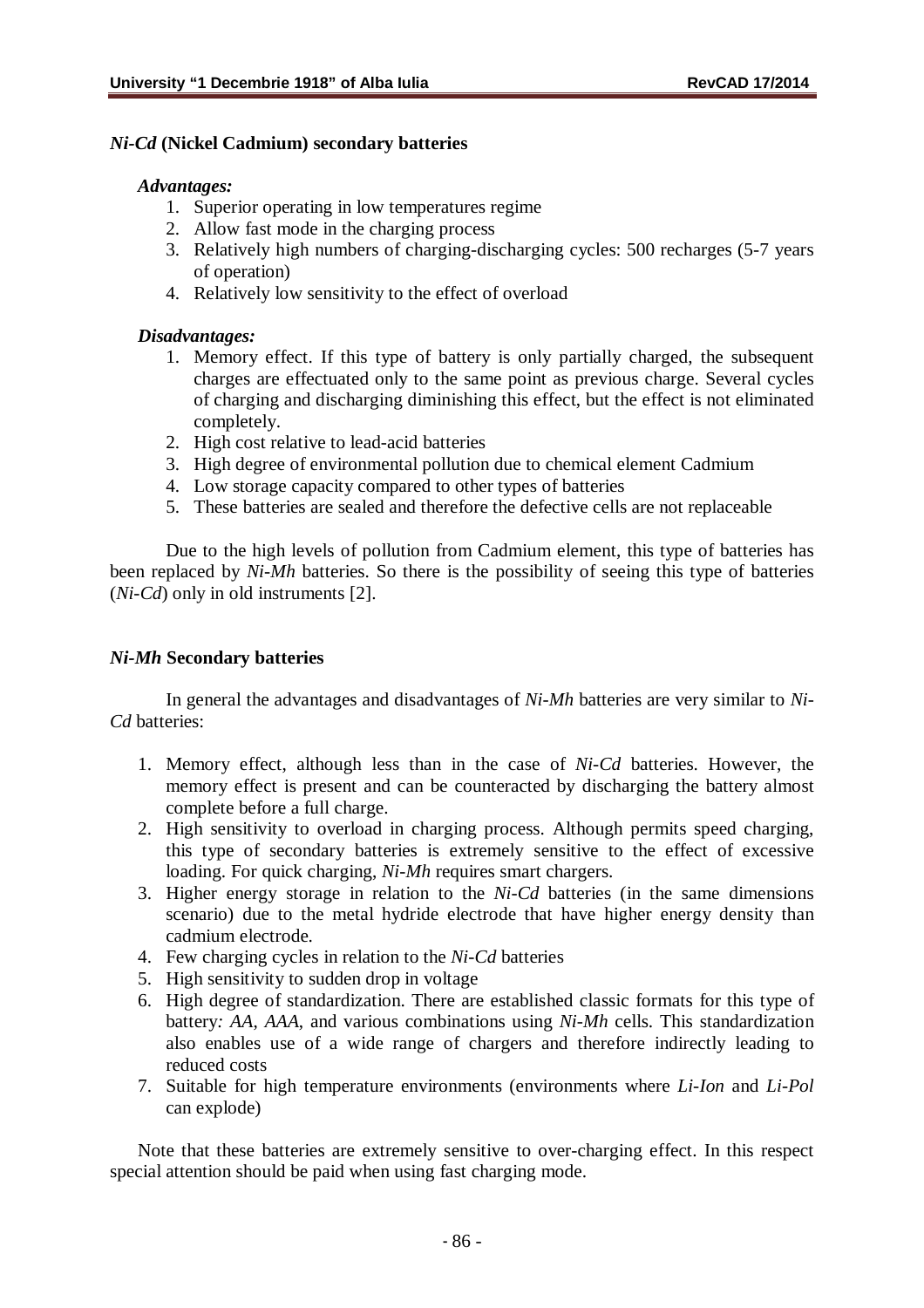#### *Ni-Cd* **(Nickel Cadmium) secondary batteries**

#### *Advantages:*

- 1. Superior operating in low temperatures regime
- 2. Allow fast mode in the charging process
- 3. Relatively high numbers of charging-discharging cycles: 500 recharges (5-7 years of operation)
- 4. Relatively low sensitivity to the effect of overload

### *Disadvantages:*

- 1. Memory effect. If this type of battery is only partially charged, the subsequent charges are effectuated only to the same point as previous charge. Several cycles of charging and discharging diminishing this effect, but the effect is not eliminated completely.
- 2. High cost relative to lead-acid batteries
- 3. High degree of environmental pollution due to chemical element Cadmium
- 4. Low storage capacity compared to other types of batteries
- 5. These batteries are sealed and therefore the defective cells are not replaceable

Due to the high levels of pollution from Cadmium element, this type of batteries has been replaced by *Ni-Mh* batteries. So there is the possibility of seeing this type of batteries (*Ni-Cd*) only in old instruments [2].

### *Ni-Mh* **Secondary batteries**

In general the advantages and disadvantages of *Ni-Mh* batteries are very similar to *Ni-Cd* batteries:

- 1. Memory effect, although less than in the case of *Ni-Cd* batteries. However, the memory effect is present and can be counteracted by discharging the battery almost complete before a full charge.
- 2. High sensitivity to overload in charging process. Although permits speed charging, this type of secondary batteries is extremely sensitive to the effect of excessive loading. For quick charging, *Ni-Mh* requires smart chargers.
- 3. Higher energy storage in relation to the *Ni-Cd* batteries (in the same dimensions scenario) due to the metal hydride electrode that have higher energy density than cadmium electrode.
- 4. Few charging cycles in relation to the *Ni-Cd* batteries
- 5. High sensitivity to sudden drop in voltage
- 6. High degree of standardization. There are established classic formats for this type of battery*: AA*, *AAA*, and various combinations using *Ni-Mh* cells. This standardization also enables use of a wide range of chargers and therefore indirectly leading to reduced costs
- 7. Suitable for high temperature environments (environments where *Li-Ion* and *Li-Pol* can explode)

Note that these batteries are extremely sensitive to over-charging effect. In this respect special attention should be paid when using fast charging mode.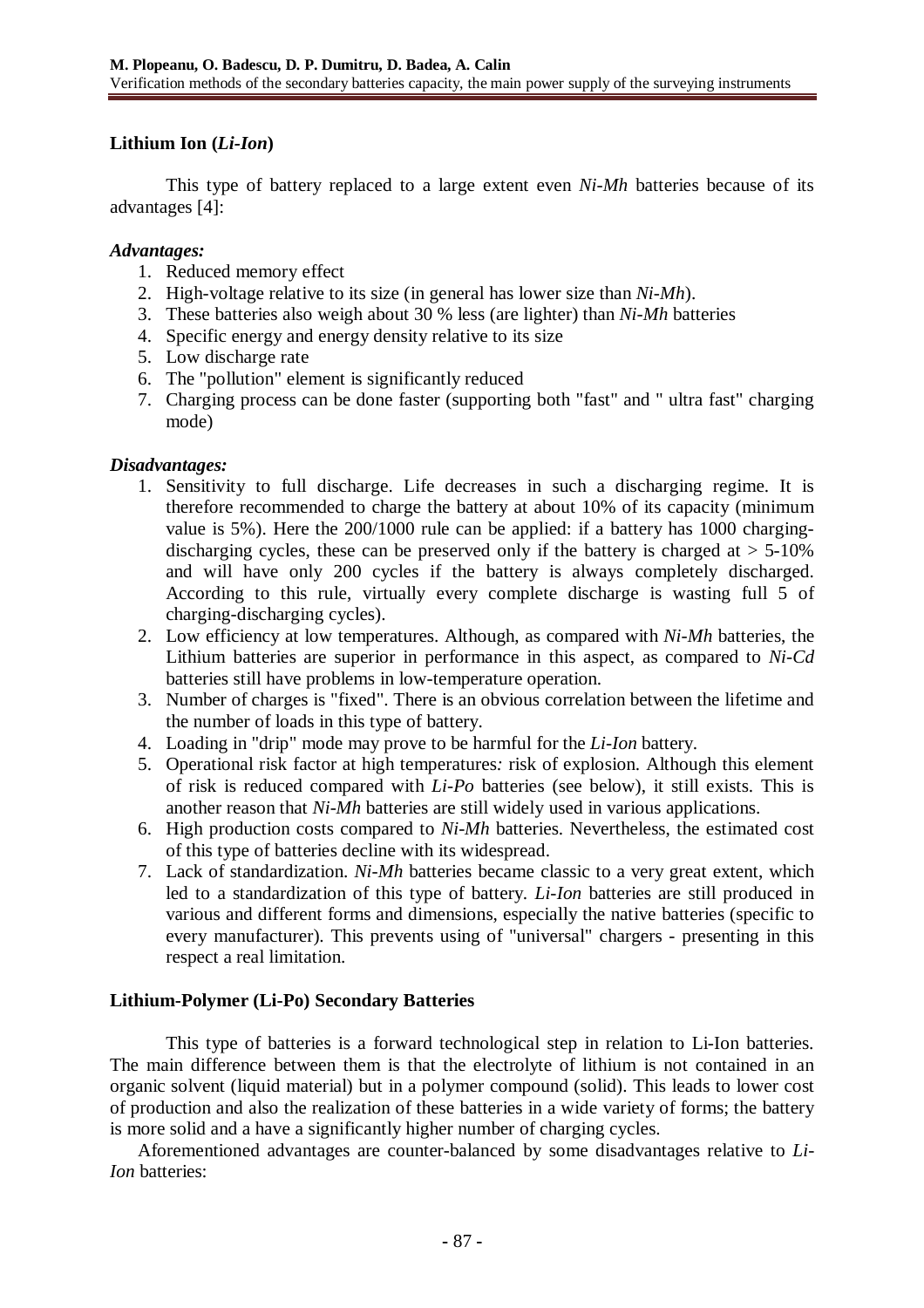# **Lithium Ion (***Li-Ion***)**

This type of battery replaced to a large extent even *Ni-Mh* batteries because of its advantages [4]:

### *Advantages:*

- 1. Reduced memory effect
- 2. High-voltage relative to its size (in general has lower size than *Ni-Mh*).
- 3. These batteries also weigh about 30 % less (are lighter) than *Ni-Mh* batteries
- 4. Specific energy and energy density relative to its size
- 5. Low discharge rate
- 6. The "pollution" element is significantly reduced
- 7. Charging process can be done faster (supporting both "fast" and " ultra fast" charging mode)

## *Disadvantages:*

- 1. Sensitivity to full discharge. Life decreases in such a discharging regime. It is therefore recommended to charge the battery at about 10% of its capacity (minimum value is 5%). Here the 200/1000 rule can be applied: if a battery has 1000 chargingdischarging cycles, these can be preserved only if the battery is charged at  $> 5{\text -}10\%$ and will have only 200 cycles if the battery is always completely discharged. According to this rule, virtually every complete discharge is wasting full 5 of charging-discharging cycles).
- 2. Low efficiency at low temperatures. Although, as compared with *Ni-Mh* batteries, the Lithium batteries are superior in performance in this aspect, as compared to *Ni-Cd* batteries still have problems in low-temperature operation.
- 3. Number of charges is "fixed". There is an obvious correlation between the lifetime and the number of loads in this type of battery.
- 4. Loading in "drip" mode may prove to be harmful for the *Li-Ion* battery.
- 5. Operational risk factor at high temperatures*:* risk of explosion. Although this element of risk is reduced compared with *Li-Po* batteries (see below), it still exists. This is another reason that *Ni-Mh* batteries are still widely used in various applications.
- 6. High production costs compared to *Ni-Mh* batteries. Nevertheless, the estimated cost of this type of batteries decline with its widespread.
- 7. Lack of standardization. *Ni-Mh* batteries became classic to a very great extent, which led to a standardization of this type of battery. *Li-Ion* batteries are still produced in various and different forms and dimensions, especially the native batteries (specific to every manufacturer). This prevents using of "universal" chargers - presenting in this respect a real limitation.

# **Lithium-Polymer (Li-Po) Secondary Batteries**

This type of batteries is a forward technological step in relation to Li-Ion batteries. The main difference between them is that the electrolyte of lithium is not contained in an organic solvent (liquid material) but in a polymer compound (solid). This leads to lower cost of production and also the realization of these batteries in a wide variety of forms; the battery is more solid and a have a significantly higher number of charging cycles.

Aforementioned advantages are counter-balanced by some disadvantages relative to *Li-Ion* batteries: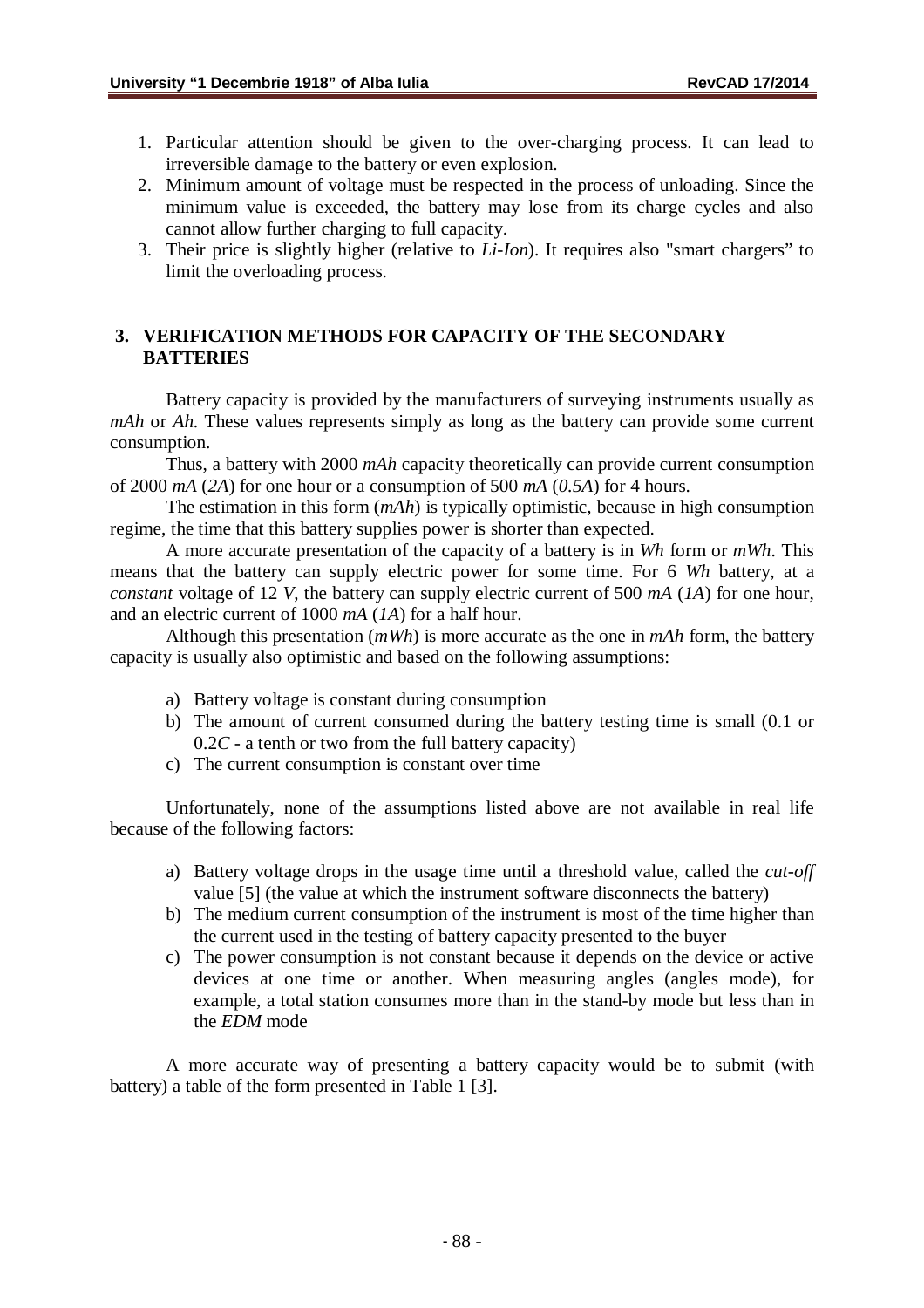- 1. Particular attention should be given to the over-charging process. It can lead to irreversible damage to the battery or even explosion.
- 2. Minimum amount of voltage must be respected in the process of unloading. Since the minimum value is exceeded, the battery may lose from its charge cycles and also cannot allow further charging to full capacity.
- 3. Their price is slightly higher (relative to *Li-Ion*). It requires also "smart chargers" to limit the overloading process.

## **3. VERIFICATION METHODS FOR CAPACITY OF THE SECONDARY BATTERIES**

Battery capacity is provided by the manufacturers of surveying instruments usually as *mAh* or *Ah*. These values represents simply as long as the battery can provide some current consumption.

Thus, a battery with 2000 *mAh* capacity theoretically can provide current consumption of 2000 *mA* (*2A*) for one hour or a consumption of 500 *mA* (*0.5A*) for 4 hours.

The estimation in this form (*mAh*) is typically optimistic, because in high consumption regime, the time that this battery supplies power is shorter than expected.

A more accurate presentation of the capacity of a battery is in *Wh* form or *mWh*. This means that the battery can supply electric power for some time. For 6 *Wh* battery, at a *constant* voltage of 12 *V*, the battery can supply electric current of 500 *mA* (*1A*) for one hour, and an electric current of 1000 *mA* (*1A*) for a half hour.

Although this presentation (*mWh*) is more accurate as the one in *mAh* form, the battery capacity is usually also optimistic and based on the following assumptions:

- a) Battery voltage is constant during consumption
- b) The amount of current consumed during the battery testing time is small (0.1 or 0.2*C* - a tenth or two from the full battery capacity)
- c) The current consumption is constant over time

Unfortunately, none of the assumptions listed above are not available in real life because of the following factors:

- a) Battery voltage drops in the usage time until a threshold value, called the *cut-off* value [5] (the value at which the instrument software disconnects the battery)
- b) The medium current consumption of the instrument is most of the time higher than the current used in the testing of battery capacity presented to the buyer
- c) The power consumption is not constant because it depends on the device or active devices at one time or another. When measuring angles (angles mode), for example, a total station consumes more than in the stand-by mode but less than in the *EDM* mode

A more accurate way of presenting a battery capacity would be to submit (with battery) a table of the form presented in Table 1 [3].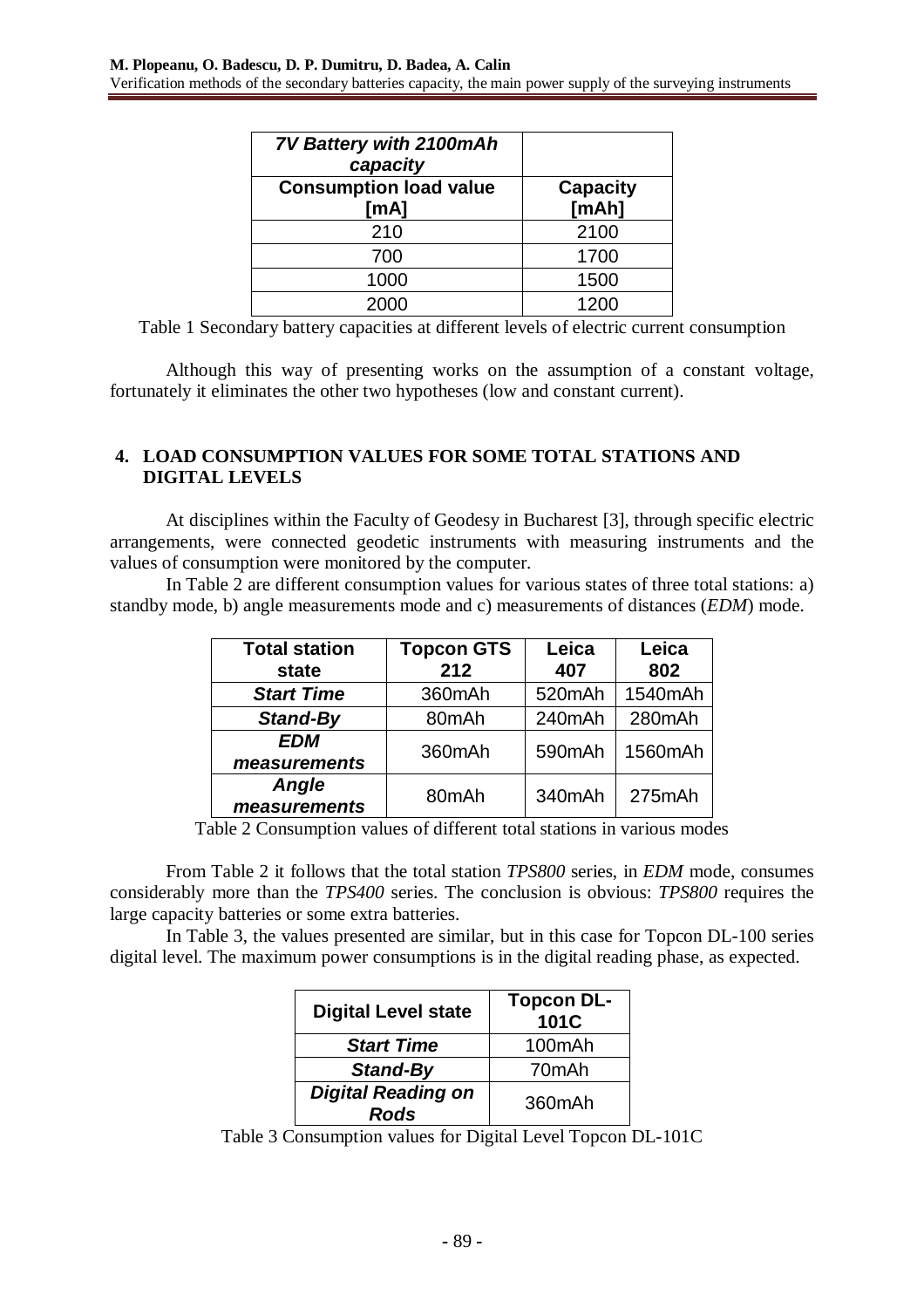| <b>7V Battery with 2100mAh</b><br>capacity |                              |
|--------------------------------------------|------------------------------|
| <b>Consumption load value</b><br>[mA]      | <b>Capacity</b><br>[ $mAh$ ] |
| 210                                        | 2100                         |
| 700                                        | 1700                         |
| 1000                                       | 1500                         |
| 2000                                       | 1200                         |

Table 1 Secondary battery capacities at different levels of electric current consumption

Although this way of presenting works on the assumption of a constant voltage, fortunately it eliminates the other two hypotheses (low and constant current).

# **4. LOAD CONSUMPTION VALUES FOR SOME TOTAL STATIONS AND DIGITAL LEVELS**

At disciplines within the Faculty of Geodesy in Bucharest [3], through specific electric arrangements, were connected geodetic instruments with measuring instruments and the values of consumption were monitored by the computer.

In Table 2 are different consumption values for various states of three total stations: a) standby mode, b) angle measurements mode and c) measurements of distances (*EDM*) mode.

| <b>Total station</b><br>state | <b>Topcon GTS</b><br>212 | Leica<br>407 | Leica<br>802 |
|-------------------------------|--------------------------|--------------|--------------|
| <b>Start Time</b>             | 360mAh                   | 520mAh       | 1540mAh      |
| <b>Stand-By</b>               | 80mAh                    | 240mAh       | 280mAh       |
| <b>EDM</b><br>measurements    | 360mAh                   | 590mAh       | 1560mAh      |
| <b>Angle</b><br>measurements  | 80mAh                    | 340mAh       | 275mAh       |

Table 2 Consumption values of different total stations in various modes

From Table 2 it follows that the total station *TPS800* series, in *EDM* mode, consumes considerably more than the *TPS400* series. The conclusion is obvious: *TPS800* requires the large capacity batteries or some extra batteries.

In Table 3, the values presented are similar, but in this case for Topcon DL-100 series digital level. The maximum power consumptions is in the digital reading phase, as expected.

| <b>Digital Level state</b>        | <b>Topcon DL-</b><br>101C |
|-----------------------------------|---------------------------|
| <b>Start Time</b>                 | 100mAh                    |
| <b>Stand-By</b>                   | 70mAh                     |
| <b>Digital Reading on</b><br>Rods | 360mAh                    |

Table 3 Consumption values for Digital Level Topcon DL-101C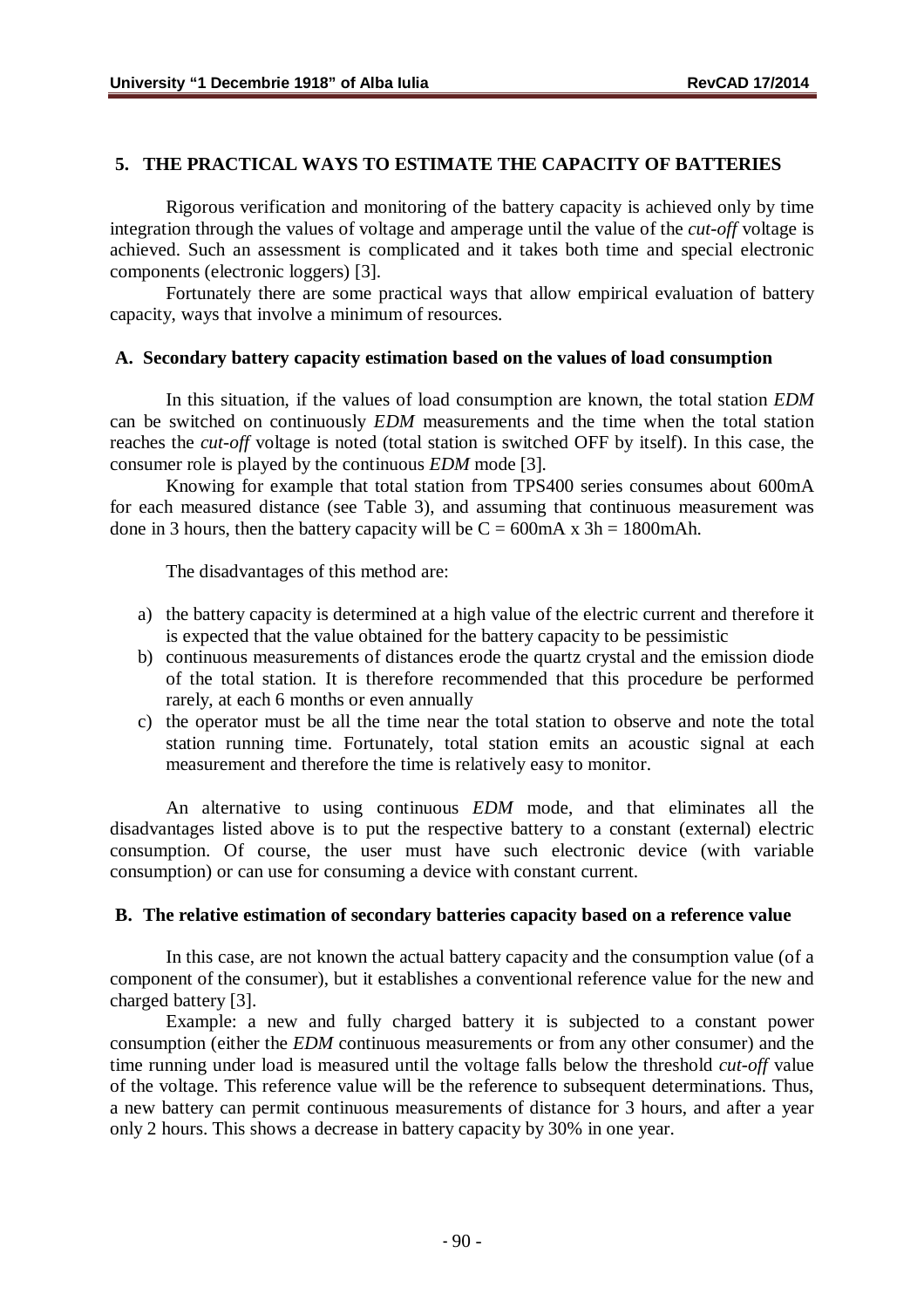# **5. THE PRACTICAL WAYS TO ESTIMATE THE CAPACITY OF BATTERIES**

Rigorous verification and monitoring of the battery capacity is achieved only by time integration through the values of voltage and amperage until the value of the *cut-off* voltage is achieved. Such an assessment is complicated and it takes both time and special electronic components (electronic loggers) [3].

Fortunately there are some practical ways that allow empirical evaluation of battery capacity, ways that involve a minimum of resources.

#### **A. Secondary battery capacity estimation based on the values of load consumption**

In this situation, if the values of load consumption are known, the total station *EDM* can be switched on continuously *EDM* measurements and the time when the total station reaches the *cut-off* voltage is noted (total station is switched OFF by itself). In this case, the consumer role is played by the continuous *EDM* mode [3].

Knowing for example that total station from TPS400 series consumes about 600mA for each measured distance (see Table 3), and assuming that continuous measurement was done in 3 hours, then the battery capacity will be  $C = 600 \text{mA} \times 3\text{h} = 1800 \text{mA} \text{h}$ .

The disadvantages of this method are:

- a) the battery capacity is determined at a high value of the electric current and therefore it is expected that the value obtained for the battery capacity to be pessimistic
- b) continuous measurements of distances erode the quartz crystal and the emission diode of the total station. It is therefore recommended that this procedure be performed rarely, at each 6 months or even annually
- c) the operator must be all the time near the total station to observe and note the total station running time. Fortunately, total station emits an acoustic signal at each measurement and therefore the time is relatively easy to monitor.

An alternative to using continuous *EDM* mode, and that eliminates all the disadvantages listed above is to put the respective battery to a constant (external) electric consumption. Of course, the user must have such electronic device (with variable consumption) or can use for consuming a device with constant current.

#### **B. The relative estimation of secondary batteries capacity based on a reference value**

In this case, are not known the actual battery capacity and the consumption value (of a component of the consumer), but it establishes a conventional reference value for the new and charged battery [3].

Example: a new and fully charged battery it is subjected to a constant power consumption (either the *EDM* continuous measurements or from any other consumer) and the time running under load is measured until the voltage falls below the threshold *cut-off* value of the voltage. This reference value will be the reference to subsequent determinations. Thus, a new battery can permit continuous measurements of distance for 3 hours, and after a year only 2 hours. This shows a decrease in battery capacity by 30% in one year.